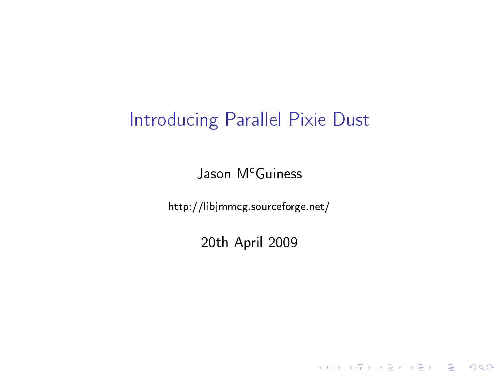### Introducing Parallel Pixie Dust

Jason M<sup>c</sup>Guiness

<span id="page-0-0"></span>http://libjmmcg.sourceforge.net/

20th April 2009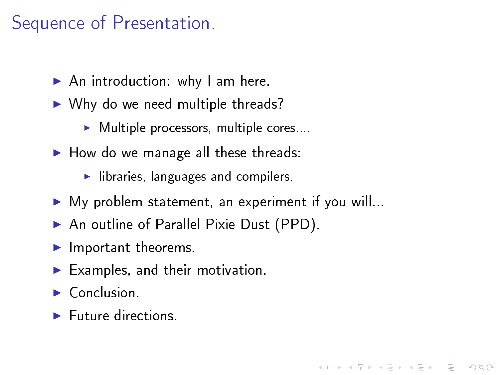### Sequence of Presentation.

- $\blacktriangleright$  An introduction: why I am here.
- $\blacktriangleright$  Why do we need multiple threads?
	- $\blacktriangleright$  Multiple processors, multiple cores...
- $\blacktriangleright$  How do we manage all these threads:
	- $\blacktriangleright$  libraries, languages and compilers.
- $\blacktriangleright$  My problem statement, an experiment if you will...

**KORKA REPARATION ADD** 

- ▶ An outline of Parallel Pixie Dust (PPD).
- $\blacktriangleright$  Important theorems.
- $\blacktriangleright$  Examples, and their motivation.
- $\triangleright$  Conclusion.
- $\blacktriangleright$  Future directions.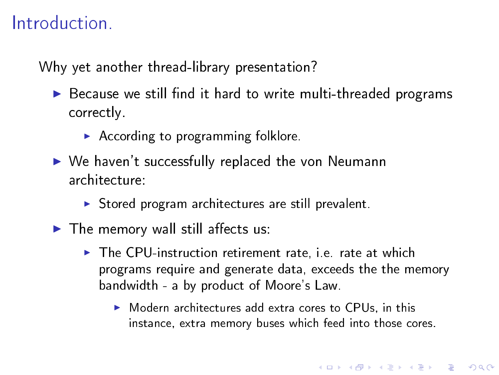### **Introduction**

Why yet another thread-library presentation?

- $\triangleright$  Because we still find it hard to write multi-threaded programs correctly.
	- $\blacktriangleright$  According to programming folklore.
- $\triangleright$  We haven't successfully replaced the von Neumann architecture:
	- $\triangleright$  Stored program architectures are still prevalent.
- $\blacktriangleright$  The memory wall still affects us:
	- $\triangleright$  The CPU-instruction retirement rate, i.e. rate at which programs require and generate data, exceeds the the memory bandwidth - a by product of Moore's Law.
		- $\triangleright$  Modern architectures add extra cores to CPUs, in this instance, extra memory buses which feed into those cores.

**A DIA K PIA K E A LE A DIA K E A VION**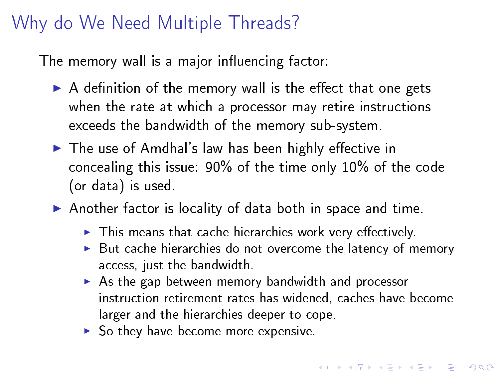## Why do We Need Multiple Threads?

The memory wall is a major influencing factor:

- $\triangleright$  A definition of the memory wall is the effect that one gets when the rate at which a processor may retire instructions exceeds the bandwidth of the memory sub-system.
- $\blacktriangleright$  The use of Amdhal's law has been highly effective in concealing this issue: 90% of the time only 10% of the code (or data) is used.
- $\blacktriangleright$  Another factor is locality of data both in space and time.
	- $\blacktriangleright$  This means that cache hierarchies work very effectively.
	- $\blacktriangleright$  But cache hierarchies do not overcome the latency of memory access, just the bandwidth.
	- $\triangleright$  As the gap between memory bandwidth and processor instruction retirement rates has widened, caches have become larger and the hierarchies deeper to cope.
	- $\triangleright$  So they have become more expensive.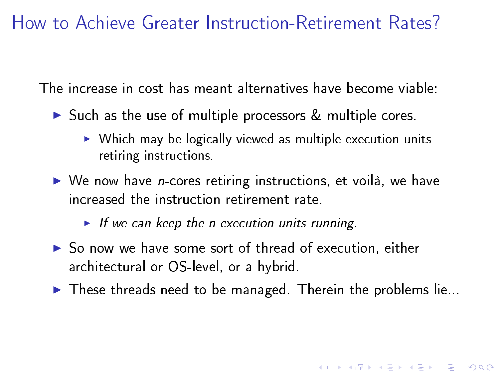### How to Achieve Greater Instruction-Retirement Rates?

The increase in cost has meant alternatives have become viable:

- $\triangleright$  Such as the use of multiple processors  $\&$  multiple cores.
	- $\triangleright$  Which may be logically viewed as multiple execution units retiring instructions.
- $\triangleright$  We now have *n*-cores retiring instructions, et voilà, we have increased the instruction retirement rate.

If we can keep the n execution units running.

- $\triangleright$  So now we have some sort of thread of execution, either architectural or OS-level, or a hybrid.
- $\blacktriangleright$  These threads need to be managed. Therein the problems lie...

**A DIA K PIA K E A LE A DIA K E A VION**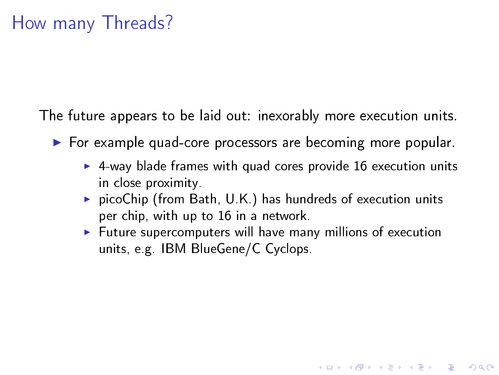The future appears to be laid out: inexorably more execution units.

- $\triangleright$  For example quad-core processors are becoming more popular.
	- $\triangleright$  4-way blade frames with quad cores provide 16 execution units in close proximity.
	- $\triangleright$  picoChip (from Bath, U.K.) has hundreds of execution units per chip, with up to 16 in a network.
	- $\blacktriangleright$  Future supercomputers will have many millions of execution units, e.g. IBM BlueGene/C Cyclops.

**A DIA K PIA A BIA A BIA A Q A CA**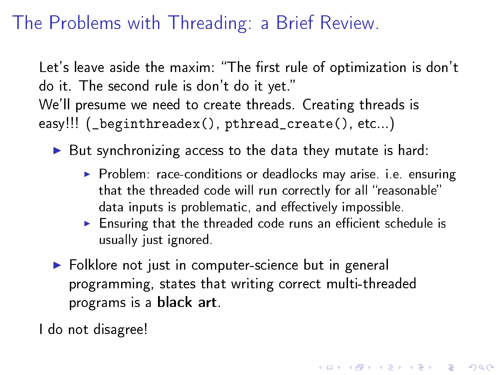# The Problems with Threading: a Brief Review.

Let's leave aside the maxim: "The first rule of optimization is don't do it. The second rule is don't do it yet. We'll presume we need to create threads. Creating threads is easy!!! (\_beginthreadex(), pthread\_create(), etc...)

- $\triangleright$  But synchronizing access to the data they mutate is hard:
	- ▶ Problem: race-conditions or deadlocks may arise. i.e. ensuring that the threaded code will run correctly for all "reasonable" data inputs is problematic, and effectively impossible.
	- $\triangleright$  Ensuring that the threaded code runs an efficient schedule is usually just ignored.

**A DIA K PIA A BIA A BIA A Q A CA** 

▶ Folklore not just in computer-science but in general programming, states that writing correct multi-threaded programs is a black art.

I do not disagree!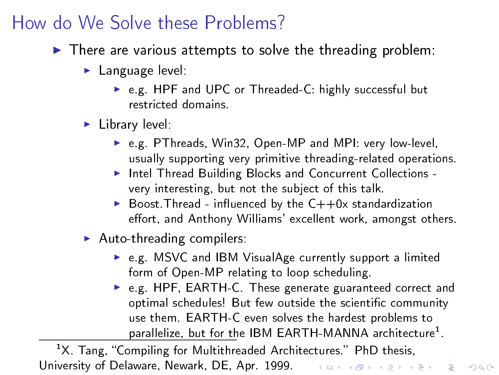### How do We Solve these Problems?

- $\blacktriangleright$  There are various attempts to solve the threading problem:
	- $\blacktriangleright$  Language level:
		- ▶ e.g. HPF and UPC or Threaded-C: highly successful but restricted domains.
	- $\blacktriangleright$  Library level:
		- ▶ e.g. PThreads, Win32, Open-MP and MPI: very low-level, usually supporting very primitive threading-related operations.
		- Intel Thread Building Blocks and Concurrent Collections very interesting, but not the subject of this talk.
		- $\triangleright$  Boost Thread influenced by the  $C++0x$  standardization effort, and Anthony Williams' excellent work, amongst others.
	- $\blacktriangleright$  Auto-threading compilers:
		- $\triangleright$  e.g. MSVC and IBM VisualAge currently support a limited form of Open-MP relating to loop scheduling.
		- ► e.g. HPF, EARTH-C. These generate guaranteed correct and optimal schedules! But few outside the scientific community use them. EARTH-C even solves the hardest problems to parallelize, but for the IBM EARTH-MANNA architecture $^1$ .

 $1X$ . Tang, "Compiling for Multithreaded Architectures." PhD thesis, University of Delaware, Newark, DE, Apr. 1999. The service of the service of the service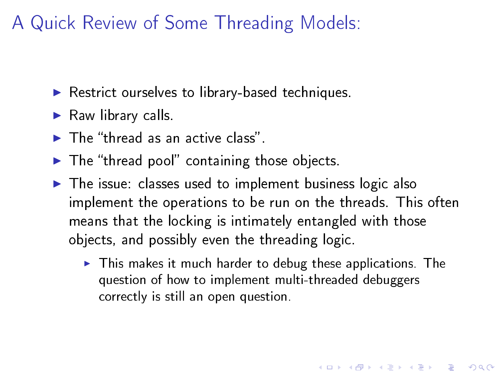## A Quick Review of Some Threading Models:

- $\blacktriangleright$  Restrict ourselves to library-based techniques.
- $\blacktriangleright$  Raw library calls.
- $\blacktriangleright$  The "thread as an active class"
- $\blacktriangleright$  The "thread pool" containing those objects.
- $\triangleright$  The issue: classes used to implement business logic also implement the operations to be run on the threads. This often means that the locking is intimately entangled with those objects, and possibly even the threading logic.
	- $\blacktriangleright$  This makes it much harder to debug these applications. The question of how to implement multi-threaded debuggers correctly is still an open question.

**A DIA K PIA K E A LE A DIA K E A VION**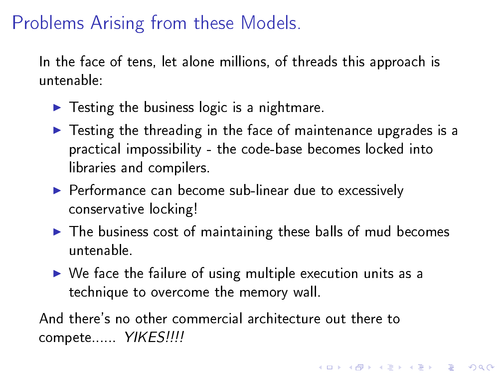### Problems Arising from these Models.

In the face of tens, let alone millions, of threads this approach is untenable:

- $\blacktriangleright$  Testing the business logic is a nightmare.
- $\blacktriangleright$  Testing the threading in the face of maintenance upgrades is a practical impossibility - the code-base becomes locked into libraries and compilers.
- $\blacktriangleright$  Performance can become sub-linear due to excessively conservative locking!
- $\blacktriangleright$  The business cost of maintaining these balls of mud becomes untenable.

**A DIA K PIA A BIA A BIA A Q A CA** 

 $\triangleright$  We face the failure of using multiple execution units as a technique to overcome the memory wall.

And there's no other commercial architecture out there to compete...... YIKES!!!!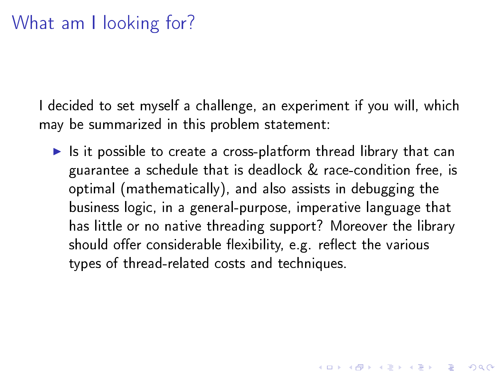I decided to set myself a challenge, an experiment if you will, which may be summarized in this problem statement:

 $\blacktriangleright$  Is it possible to create a cross-platform thread library that can guarantee a schedule that is deadlock & race-condition free, is optimal (mathematically), and also assists in debugging the business logic, in a general-purpose, imperative language that has little or no native threading support? Moreover the library should offer considerable flexibility, e.g. reflect the various types of thread-related costs and techniques.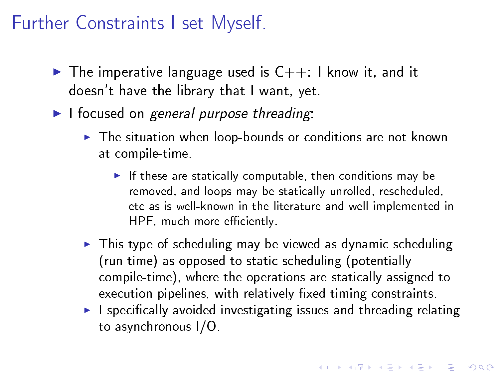### Further Constraints I set Myself.

- $\triangleright$  The imperative language used is  $C++$ : I know it, and it doesn't have the library that I want, yet.
- $\blacktriangleright$  I focused on general purpose threading:
	- $\blacktriangleright$  The situation when loop-bounds or conditions are not known at compile-time.
		- If these are statically computable, then conditions may be removed, and loops may be statically unrolled, rescheduled, etc as is well-known in the literature and well implemented in HPF, much more efficiently.
	- $\blacktriangleright$  This type of scheduling may be viewed as dynamic scheduling (run-time) as opposed to static scheduling (potentially compile-time), where the operations are statically assigned to execution pipelines, with relatively fixed timing constraints.
	- $\blacktriangleright$  I specifically avoided investigating issues and threading relating to asynchronous I/O.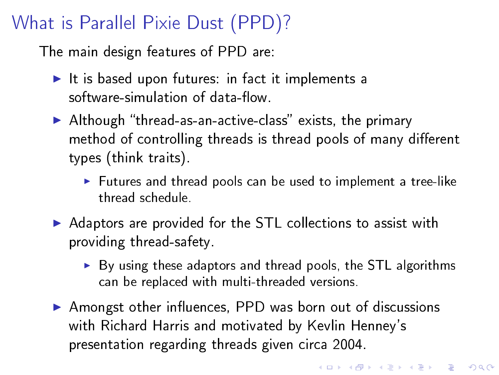### What is Parallel Pixie Dust (PPD)?

The main design features of PPD are:

- $\blacktriangleright$  It is based upon futures: in fact it implements a software-simulation of data-flow.
- $\blacktriangleright$  Although "thread-as-an-active-class" exists, the primary method of controlling threads is thread pools of many different types (think traits).
	- $\blacktriangleright$  Futures and thread pools can be used to implement a tree-like thread schedule.
- Adaptors are provided for the STL collections to assist with providing thread-safety.
	- $\triangleright$  By using these adaptors and thread pools, the STL algorithms can be replaced with multi-threaded versions.
- $\triangleright$  Amongst other influences, PPD was born out of discussions with Richard Harris and motivated by Kevlin Henney's presentation regarding threads given circa 2004.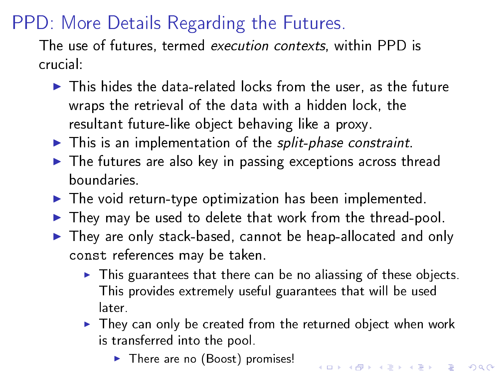# PPD: More Details Regarding the Futures.

The use of futures, termed execution contexts, within PPD is crucial:

- $\blacktriangleright$  This hides the data-related locks from the user, as the future wraps the retrieval of the data with a hidden lock, the resultant future-like object behaving like a proxy.
- $\blacktriangleright$  This is an implementation of the split-phase constraint.
- $\blacktriangleright$  The futures are also key in passing exceptions across thread boundaries.
- $\blacktriangleright$  The void return-type optimization has been implemented.
- $\blacktriangleright$  They may be used to delete that work from the thread-pool.
- $\blacktriangleright$  They are only stack-based, cannot be heap-allocated and only const references may be taken.
	- $\blacktriangleright$  This guarantees that there can be no aliassing of these objects. This provides extremely useful guarantees that will be used later.
	- $\blacktriangleright$  They can only be created from the returned object when work is transferred into the pool.

 $\blacktriangleright$  There are no (Boost) promises!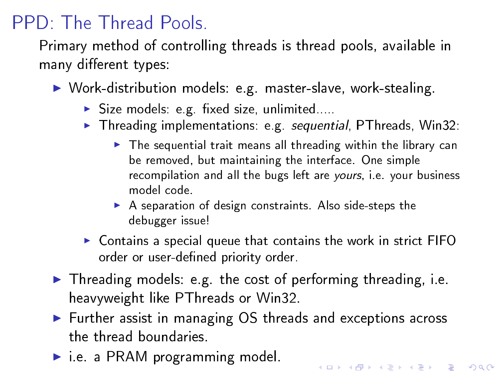# PPD: The Thread Pools.

Primary method of controlling threads is thread pools, available in many different types:

- ▶ Work-distribution models: e.g. master-slave, work-stealing.
	- $\triangleright$  Size models: e.g. fixed size, unlimited....
	- $\blacktriangleright$  Threading implementations: e.g. sequential, PThreads, Win32:
		- $\triangleright$  The sequential trait means all threading within the library can be removed, but maintaining the interface. One simple recompilation and all the bugs left are yours, i.e. your business model code.

- $\triangleright$  A separation of design constraints. Also side-steps the debugger issue!
- $\triangleright$  Contains a special queue that contains the work in strict FIFO order or user-defined priority order.
- $\blacktriangleright$  Threading models: e.g. the cost of performing threading, i.e. heavyweight like PThreads or Win32.
- ► Further assist in managing OS threads and exceptions across the thread boundaries.
- $\blacktriangleright$  i.e. a PRAM programming model.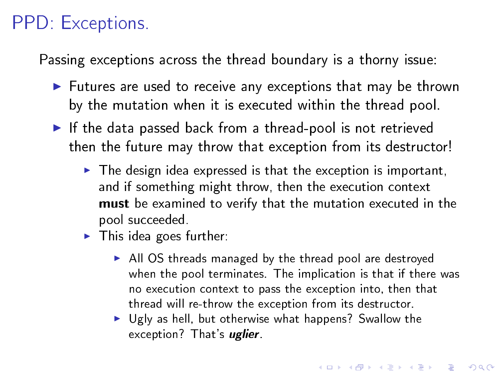## PPD: Exceptions.

Passing exceptions across the thread boundary is a thorny issue:

- $\blacktriangleright$  Futures are used to receive any exceptions that may be thrown by the mutation when it is executed within the thread pool.
- $\blacktriangleright$  If the data passed back from a thread-pool is not retrieved then the future may throw that exception from its destructor!
	- $\triangleright$  The design idea expressed is that the exception is important, and if something might throw, then the execution context must be examined to verify that the mutation executed in the pool succeeded.
	- $\blacktriangleright$  This idea goes further:
		- $\blacktriangleright$  All OS threads managed by the thread pool are destroyed when the pool terminates. The implication is that if there was no execution context to pass the exception into, then that thread will re-throw the exception from its destructor.
		- $\triangleright$  Ugly as hell, but otherwise what happens? Swallow the exception? That's *uglier*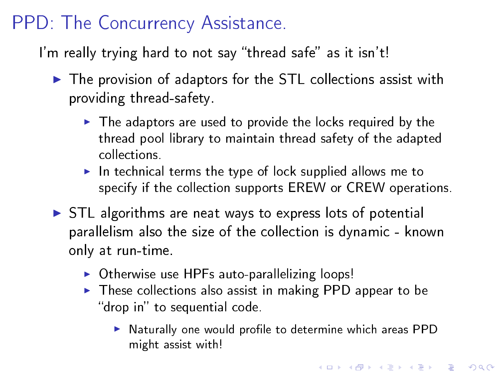# PPD: The Concurrency Assistance.

I'm really trying hard to not say "thread safe" as it isn't!

- $\blacktriangleright$  The provision of adaptors for the STL collections assist with providing thread-safety.
	- $\blacktriangleright$  The adaptors are used to provide the locks required by the thread pool library to maintain thread safety of the adapted collections.
	- $\blacktriangleright$  In technical terms the type of lock supplied allows me to specify if the collection supports EREW or CREW operations.
- $\triangleright$  STL algorithms are neat ways to express lots of potential parallelism also the size of the collection is dynamic - known only at run-time.
	- $\triangleright$  Otherwise use HPFs auto-parallelizing loops!
	- $\triangleright$  These collections also assist in making PPD appear to be "drop in" to sequential code.
		- In Naturally one would profile to determine which areas PPD might assist with!

K ロ ▶ K 레 ▶ K 레 ▶ K 레 ≯ K 게 회 게 이 및 사 이 의 O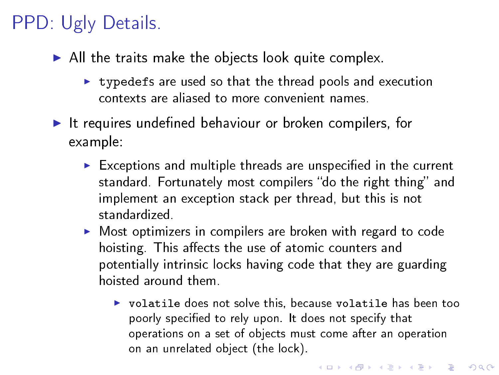# PPD: Ugly Details.

- $\blacktriangleright$  All the traits make the objects look quite complex.
	- $\triangleright$  typedefs are used so that the thread pools and execution contexts are aliased to more convenient names.
- $\blacktriangleright$  It requires undefined behaviour or broken compilers, for example:
	- $\triangleright$  Exceptions and multiple threads are unspecified in the current standard. Fortunately most compilers "do the right thing" and implement an exception stack per thread, but this is not standardized.
	- $\triangleright$  Most optimizers in compilers are broken with regard to code hoisting. This affects the use of atomic counters and potentially intrinsic locks having code that they are guarding hoisted around them.
		- $\triangleright$  volatile does not solve this, because volatile has been too poorly specified to rely upon. It does not specify that operations on a set of objects must come after an operation on an unrelated object (the lock).

**KORKA REPARATION ADD**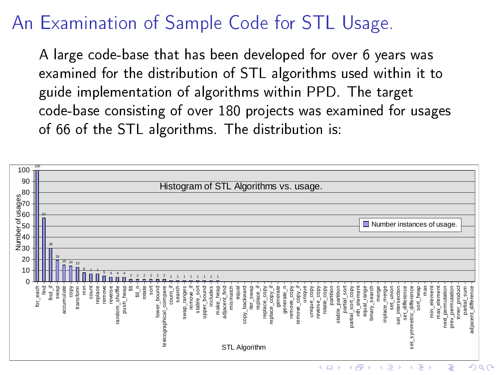## An Examination of Sample Code for STL Usage.

A large code-base that has been developed for over 6 years was examined for the distribution of STL algorithms used within it to guide implementation of algorithms within PPD. The target code-base consisting of over 180 projects was examined for usages of 66 of the STL algorithms. The distribution is:

<span id="page-18-0"></span>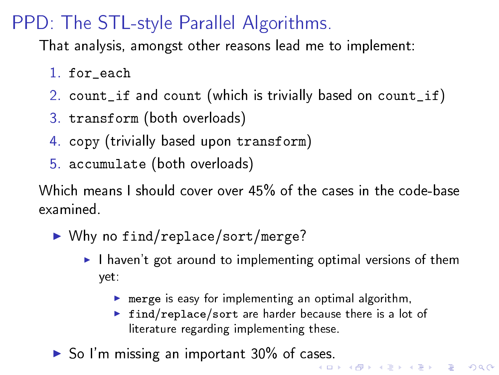# PPD: The STL-style Parallel Algorithms.

That analysis, amongst other reasons lead me to implement:

- 1. for each
- 2. count\_if and count (which is trivially based on count\_if)
- 3. transform (both overloads)
- 4. copy (trivially based upon transform)
- 5. accumulate (both overloads)

Which means I should cover over 45% of the cases in the code-base examined.

- $\blacktriangleright$  Why no find/replace/sort/merge?
	- $\blacktriangleright$  I haven't got around to implementing optimal versions of them yet:
		- $\triangleright$  merge is easy for implementing an optimal algorithm,
		- $\triangleright$  find/replace/sort are harder because there is a lot of literature regarding implementing these.
- <span id="page-19-0"></span>► So I'm missing an important 30% of ca[se](#page-18-0)s[.](#page-20-0)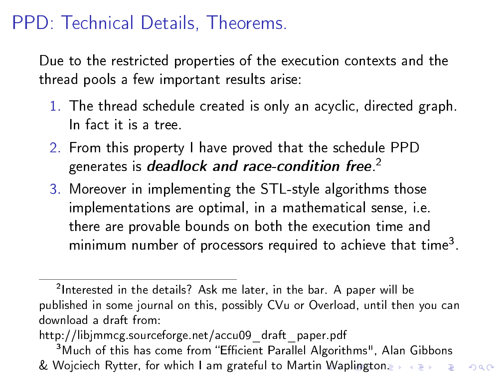## PPD: Technical Details, Theorems.

Due to the restricted properties of the execution contexts and the thread pools a few important results arise:

- 1. The thread schedule created is only an acyclic, directed graph. In fact it is a tree.
- 2. From this property I have proved that the schedule PPD generates is deadlock and race-condition free. $^2$
- 3. Moreover in implementing the STL-style algorithms those implementations are optimal, in a mathematical sense, i.e. there are provable bounds on both the execution time and minimum number of processors required to achieve that time<sup>3</sup>.

http://libjmmcg.sourceforge.net/accu09\_draft\_paper.pdf

 $^2$ Interested in the details? Ask me later, in the bar. A paper will be published in some journal on this, possibly CVu or Overload, until then you can download a draft from:

<span id="page-20-0"></span><sup>&</sup>lt;sup>3</sup> Much of this has come from "Efficient Parallel Algorithms", Alan Gibbons & Wojciech Rytter, for which I am grateful to Mart[in](#page-19-0) [Wa](#page-21-0)[pl](#page-19-0)[ing](#page-20-0)[t](#page-21-0)[on.](#page-0-0) I we have seen to a second state in the second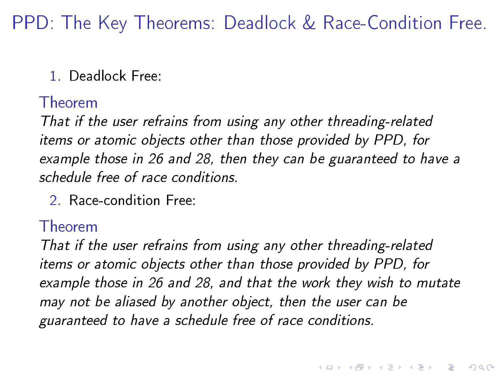PPD: The Key Theorems: Deadlock & Race-Condition Free.

#### 1. Deadlock Free:

#### Theorem

That if the user refrains from using any other threading-related items or atomic objects other than those provided by PPD, for example those in [26](#page-25-0) and [28,](#page-27-0) then they can be guaranteed to have a schedule free of race conditions.

2. Race-condition Free:

#### Theorem

<span id="page-21-0"></span>That if the user refrains from using any other threading-related items or atomic objects other than those provided by PPD, for example those in [26](#page-25-0) and [28,](#page-27-0) and that the work they wish to mutate may not be aliased by another object, then the user can be guaranteed to have a schedule free of race conditions.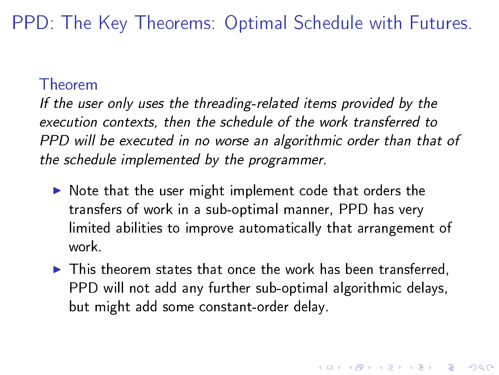PPD: The Key Theorems: Optimal Schedule with Futures.

#### Theorem

If the user only uses the threading-related items provided by the execution contexts, then the schedule of the work transferred to PPD will be executed in no worse an algorithmic order than that of the schedule implemented by the programmer.

- $\triangleright$  Note that the user might implement code that orders the transfers of work in a sub-optimal manner, PPD has very limited abilities to improve automatically that arrangement of work.
- $\blacktriangleright$  This theorem states that once the work has been transferred, PPD will not add any further sub-optimal algorithmic delays, but might add some constant-order delay.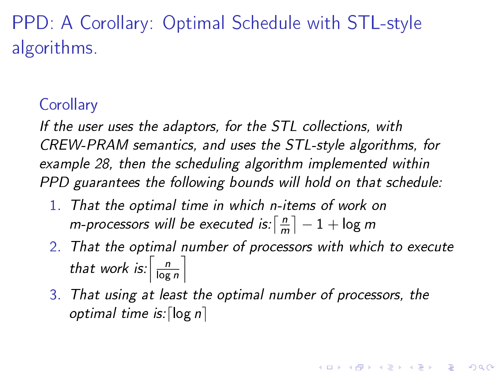PPD: A Corollary: Optimal Schedule with STL-style algorithms.

### **Corollary**

If the user uses the adaptors, for the STL collections, with CREW-PRAM semantics, and uses the STL-style algorithms, for example [28,](#page-27-0) then the scheduling algorithm implemented within PPD guarantees the following bounds will hold on that schedule:

- 1. That the optimal time in which n-items of work on m-processors will be executed is:  $\lceil \frac{n}{n} \rceil$  $\left\lfloor \frac{n}{m} \right\rceil - 1 + \log m$
- 2. That the optimal number of processors with which to execute that work is:  $\left\lceil \frac{n}{\log n} \right\rceil$  $\frac{n}{\log n}$

**KORKAR KERKER EL VOLO** 

3. That using at least the optimal number of processors, the optimal time is:  $\lceil \log n \rceil$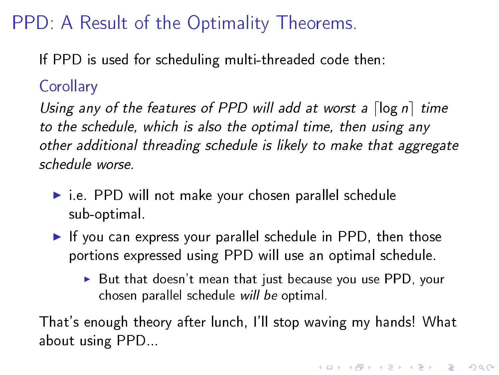# PPD: A Result of the Optimality Theorems.

If PPD is used for scheduling multi-threaded code then:

### **Corollary**

Using any of the features of PPD will add at worst a  $\lceil \log n \rceil$  time to the schedule, which is also the optimal time, then using any other additional threading schedule is likely to make that aggregate schedule worse.

- $\blacktriangleright$  i.e. PPD will not make your chosen parallel schedule sub-optimal.
- If you can express your parallel schedule in PPD, then those portions expressed using PPD will use an optimal schedule.
	- $\triangleright$  But that doesn't mean that just because you use PPD, your chosen parallel schedule will be optimal.

That's enough theory after lunch, I'll stop waving my hands! What about using PPD...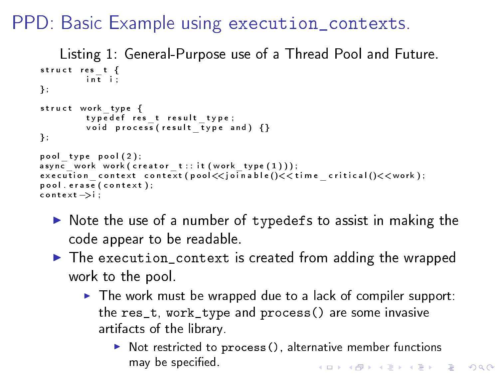PPD: Basic Example using execution\_contexts.

```
Listing 1: General-Purpose use of a Thread Pool and Future.
struct res t \{int ii \frac{1}{2}} ;
struct work type {
          typed ef res_t result_type;
          void process (result type and) \{\}} ;
pool type pool (2);
async\bar{c} work work ( creator t: : it ( work type ( 1 ) ) ) ;
{\tt execution\_context\_context} ({\tt pool} \ll {\tt join\_c}) \leq {\tt time\_critical} ()\lt < {\tt work});
p o o l . e r a s e ( c o n t e x t ) ;
c o n t e x t −>i ;
```
- In Note the use of a number of typedefs to assist in making the code appear to be readable.
- ▶ The execution\_context is created from adding the wrapped work to the pool.
	- $\blacktriangleright$  The work must be wrapped due to a lack of compiler support: the res\_t, work\_type and process() are some invasive artifacts of the library.
		- $\triangleright$  Not restricted to process (), alternative member functions may be specified. **KOD KARD KED KED E VOOR**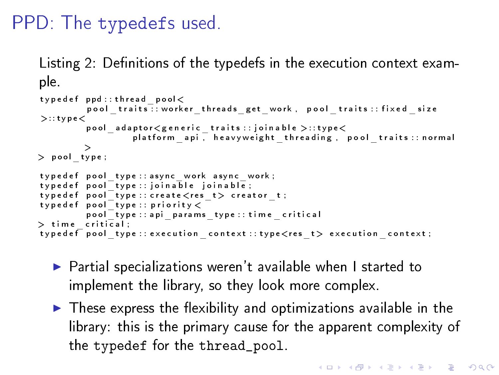### PPD: The typedefs used.

Listing 2: Definitions of the typedefs in the execution context example.

```
\tt type def.pdf : : th read pool <p ool traits : worker threads get work , p ool traits : fixed size
>: tvpe<p o ol^- a d a p t o r \leq g e n e r i c ^- t r a i t s ^- j o i n a b l e > : t y p e <platform api, heavyweight threading, pool traits normal
>
> p o ol_ t y p e ;
typed ef pool type : : async work async work ;
t y p e d e f p o ol _ t y p e : j o i n a b l e j o i n a b l e ;
t y p e d e f p o ol _ t y p e : : c r e a t e < r e s _ t > c r e a t o r _ t ;
type def pool type: : priority \ltpool type : api params type : time critical
> time critical :
typedef pool_type :: execution _context :: type<res_t> execution _context ;
```
- $\blacktriangleright$  Partial specializations weren't available when I started to implement the library, so they look more complex.
- <span id="page-26-0"></span> $\blacktriangleright$  These express the flexibility and optimizations available in the library: this is the primary cause for the apparent complexity of the typedef for the thread\_pool.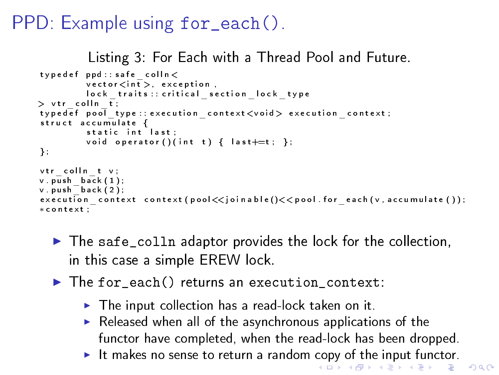# <span id="page-27-0"></span>PPD: Example using for\_each().

Listing 3: For Each with a Thread Pool and Future.

```
type def ppd:: safe colln <v ector \langle in t \rangle, exception,
         lock traits : critical section lock type
> vtr colln t;
typedef pool type : execution context <void > execution context ;
struct accumulatestatic int last;
         void operator () (int t) { last+=t; };
} ;
vtr colln t v;
v push back ( 1 ) ;
v push back ( 2 ) ;
execution context context (pool \ll join able ()\ll pool for each (v accumulate ());
∗ c o n t e x t ;
```
- $\blacktriangleright$  The safe\_colln adaptor provides the lock for the collection, in this case a simple EREW lock.
- <span id="page-27-1"></span>In The for each() returns an execution context:
	- $\blacktriangleright$  The input collection has a read-lock taken on it.
	- $\blacktriangleright$  Released when all of the asynchronous applications of the functor have completed, when the read-lock has been dropped.
	- It makes no sense to return a random [co](#page-26-0)[py](#page-28-0) [o](#page-26-0)[f t](#page-27-1)[he](#page-28-0) [in](#page-0-0)[pu](#page-36-0)[t f](#page-0-0)[un](#page-36-0)[cto](#page-0-0)[r.](#page-36-0)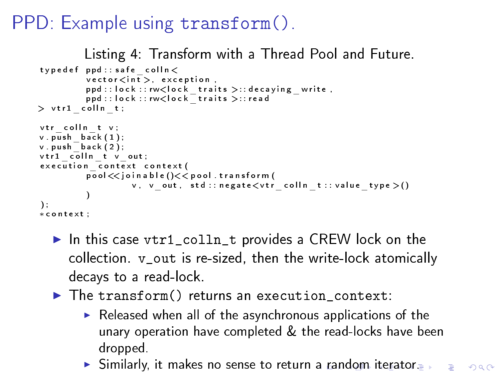# PPD: Example using transform().

```
Listing 4: Transform with a Thread Pool and Future.
type def ppd:: safe colln <v ector \lt in \overline{t} > exception
             ppd :: l o ck :: rw<l o c k _ t r ait s >: : d e c a y in g _ w r it e ,<br>ppd :: l o c k :: rw<l o c k _ t r ait s >: : r e a d
> vtr1 colln t;
vtr colln t v;
v push \overline{b}ack (1) ;
v . push_back ( 2 ) ;
v \, \text{tr} \, 1 \quad \text{coll} \, \text{n} \quad t \quad v \quad \text{out} ;
execution context context (
             pool \ll join a ble () \ll pool transform (
                          v, v_ out, std:: negate \lt vtr _ colln t:: value type >())
) ;
∗ c o n t e x t ;
```
- In this case vtr1 colln t provides a CREW lock on the collection. v\_out is re-sized, then the write-lock atomically decays to a read-lock.
- <span id="page-28-0"></span> $\blacktriangleright$  The transform() returns an execution context:
	- $\blacktriangleright$  Released when all of the asynchronous applications of the unary operation have completed & the read-locks have been dropped.
	- $\blacktriangleright$  $\blacktriangleright$  $\blacktriangleright$  Similarly, it makes no sense to return [a](#page-27-1) ran[d](#page-27-1)[om](#page-28-0)[ite](#page-0-0)[rat](#page-36-0)[or.](#page-0-0)  $\blacktriangleright$   $\blacktriangleright$   $\vartriangleleft \vartriangleleft$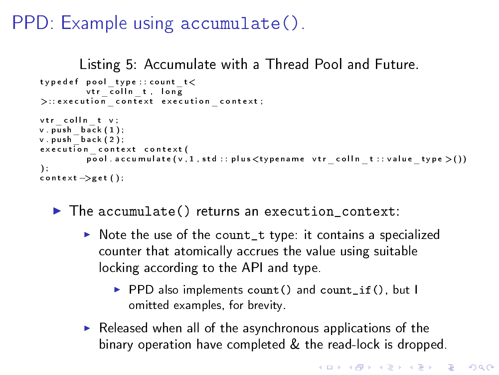# PPD: Example using accumulate().

```
Listing 5: Accumulate with a Thread Pool and Future.
typed ef pool type :: count t <v tr\overline{c} ollnt, long
\gt:: execution context execution context;
vtr colln t v;
v push \overline{b}ack (1) ;
v push \bar{b} ack ( 2 ) ;
execution context context (
            \overline{\text{pool}} . a c c um ulate (\overline{v}, 1, \text{std} : \text{plus} \leq \text{type} name vtr coll n t \text{true} type \geq ())
\mathcal{E}\text{context} \rightarrow \text{get} ();
```
- <span id="page-29-0"></span> $\blacktriangleright$  The accumulate() returns an execution\_context:
	- $\triangleright$  Note the use of the count\_t type: it contains a specialized counter that atomically accrues the value using suitable locking according to the API and type.
		- ▶ PPD also implements count () and count\_if(), but I omitted examples, for brevity.
	- $\blacktriangleright$  Released when all of the asynchronous applications of the binary operation have completed & the read-lock is dropped.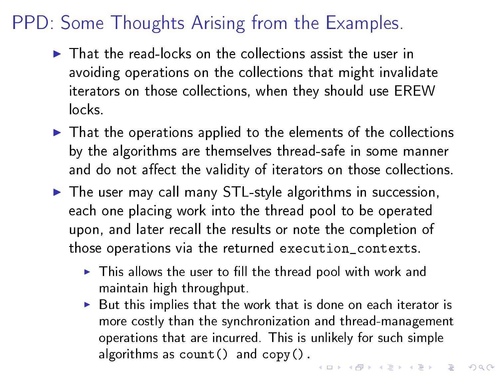# PPD: Some Thoughts Arising from the Examples.

- $\blacktriangleright$  That the read-locks on the collections assist the user in avoiding operations on the collections that might invalidate iterators on those collections, when they should use EREW locks.
- $\blacktriangleright$  That the operations applied to the elements of the collections by the algorithms are themselves thread-safe in some manner and do not affect the validity of iterators on those collections.
- $\blacktriangleright$  The user may call many STL-style algorithms in succession, each one placing work into the thread pool to be operated upon, and later recall the results or note the completion of those operations via the returned execution\_contexts.
	- $\blacktriangleright$  This allows the user to fill the thread pool with work and maintain high throughput.
	- But this implies that the work that is done on each iterator is more costly than the synchronization and thread-management operations that are incurred. This is unlikely for such simple algorithms as  $count()$  and  $copy()$ . 4 D X 4 P X 3 X 4 B X 3 B X 9 Q Q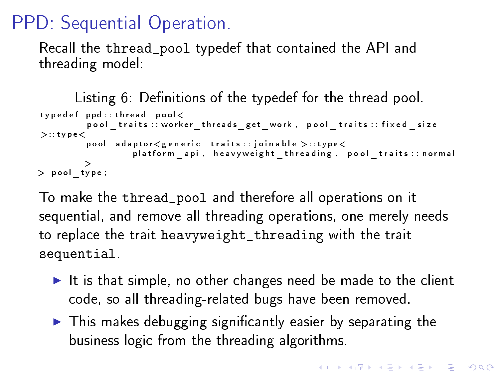# PPD: Sequential Operation.

Recall the thread\_pool typedef that contained the API and threading model:

```
Listing 6: Definitions of the typedef for the thread pool.
type def ppd:: thread pool<
           \mathsf{pool\_ traits} : worker _threads _get _work , pool _traits : : fixed _size
>::type<pool_adaptor<generic_traits : : joinable >: : type<<br>platform_api,heavyweight_threading,pool_traits : : normal
          >
> pool type;
```
To make the thread\_pool and therefore all operations on it sequential, and remove all threading operations, one merely needs to replace the trait heavyweight\_threading with the trait sequential.

- It is that simple, no other changes need be made to the client code, so all threading-related bugs have been removed.
- $\blacktriangleright$  This makes debugging significantly easier by separating the business logic from the threading algorithms.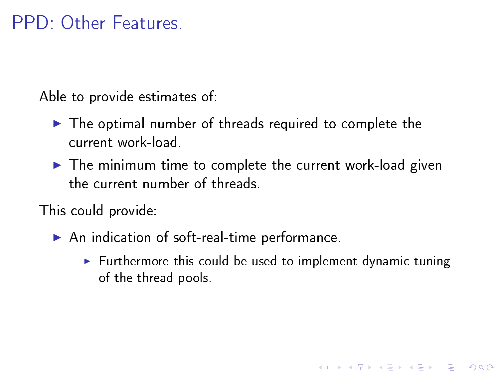### PPD: Other Features.

Able to provide estimates of:

- $\blacktriangleright$  The optimal number of threads required to complete the current work-load.
- $\blacktriangleright$  The minimum time to complete the current work-load given the current number of threads.

This could provide:

- $\blacktriangleright$  An indication of soft-real-time performance.
	- $\blacktriangleright$  Furthermore this could be used to implement dynamic tuning of the thread pools.

**A DIA K PIA K E A LE A DIA K E A VION**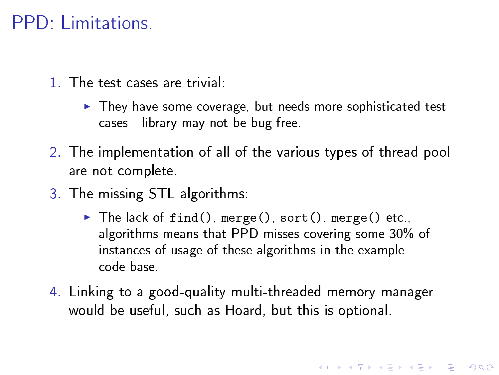### PPD: Limitations.

- 1. The test cases are trivial:
	- $\blacktriangleright$  They have some coverage, but needs more sophisticated test cases - library may not be bug-free.
- 2. The implementation of all of the various types of thread pool are not complete.
- 3. The missing STL algorithms:
	- $\blacktriangleright$  The lack of find(), merge(), sort(), merge() etc., algorithms means that PPD misses covering some 30% of instances of usage of these algorithms in the example code-base.
- 4. Linking to a good-quality multi-threaded memory manager would be useful, such as Hoard, but this is optional.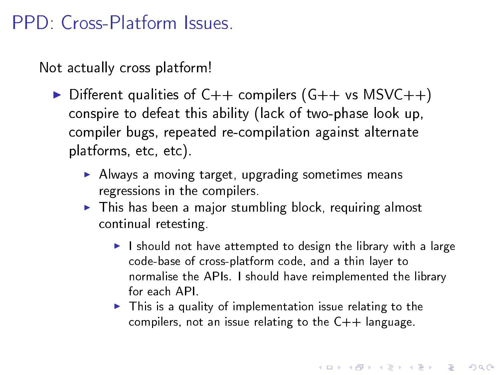### PPD: Cross-Platform Issues.

Not actually cross platform!

- $\triangleright$  Different qualities of C++ compilers (G++ vs MSVC++) conspire to defeat this ability (lack of two-phase look up, compiler bugs, repeated re-compilation against alternate platforms, etc, etc).
	- $\blacktriangleright$  Always a moving target, upgrading sometimes means regressions in the compilers.
	- $\blacktriangleright$  This has been a major stumbling block, requiring almost continual retesting.
		- $\blacktriangleright$  I should not have attempted to design the library with a large code-base of cross-platform code, and a thin layer to normalise the APIs. I should have reimplemented the library for each API.
		- $\blacktriangleright$  This is a quality of implementation issue relating to the compilers, not an issue relating to the  $C++$  language.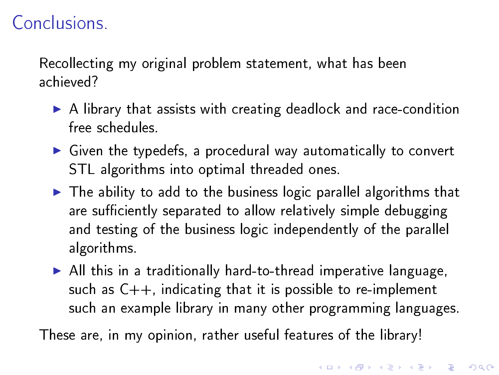## Conclusions.

Recollecting my original problem statement, what has been achieved?

- $\triangleright$  A library that assists with creating deadlock and race-condition free schedules.
- $\triangleright$  Given the typedefs, a procedural way automatically to convert STL algorithms into optimal threaded ones.
- $\blacktriangleright$  The ability to add to the business logic parallel algorithms that are sufficiently separated to allow relatively simple debugging and testing of the business logic independently of the parallel algorithms.
- $\triangleright$  All this in a traditionally hard-to-thread imperative language, such as  $C_{++}$ , indicating that it is possible to re-implement such an example library in many other programming languages.

<span id="page-35-0"></span>These are, in my opinion, rather useful features of the library!